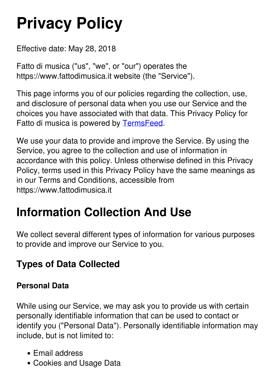# **Privacy Policy**

Effective date: May 28, 2018

Fatto di musica ("us", "we", or "our") operates the https://www.fattodimusica.it website (the "Service").

This page informs you of our policies regarding the collection, use, and disclosure of personal data when you use our Service and the choices you have associated with that data. This Privacy Policy for Fatto di musica is powered by [TermsFeed.](https://termsfeed.com/)

We use your data to provide and improve the Service. By using the Service, you agree to the collection and use of information in accordance with this policy. Unless otherwise defined in this Privacy Policy, terms used in this Privacy Policy have the same meanings as in our Terms and Conditions, accessible from https://www.fattodimusica.it

### **Information Collection And Use**

We collect several different types of information for various purposes to provide and improve our Service to you.

#### **Types of Data Collected**

#### **Personal Data**

While using our Service, we may ask you to provide us with certain personally identifiable information that can be used to contact or identify you ("Personal Data"). Personally identifiable information may include, but is not limited to:

- Email address
- Cookies and Usage Data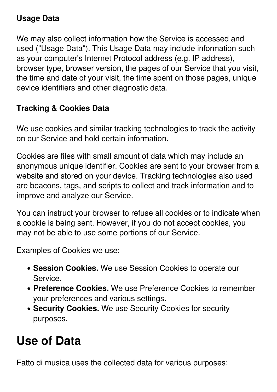#### **Usage Data**

We may also collect information how the Service is accessed and used ("Usage Data"). This Usage Data may include information such as your computer's Internet Protocol address (e.g. IP address), browser type, browser version, the pages of our Service that you visit, the time and date of your visit, the time spent on those pages, unique device identifiers and other diagnostic data.

#### **Tracking & Cookies Data**

We use cookies and similar tracking technologies to track the activity on our Service and hold certain information.

Cookies are files with small amount of data which may include an anonymous unique identifier. Cookies are sent to your browser from a website and stored on your device. Tracking technologies also used are beacons, tags, and scripts to collect and track information and to improve and analyze our Service.

You can instruct your browser to refuse all cookies or to indicate when a cookie is being sent. However, if you do not accept cookies, you may not be able to use some portions of our Service.

Examples of Cookies we use:

- **Session Cookies.** We use Session Cookies to operate our **Service**
- **Preference Cookies.** We use Preference Cookies to remember your preferences and various settings.
- **Security Cookies.** We use Security Cookies for security purposes.

#### **Use of Data**

Fatto di musica uses the collected data for various purposes: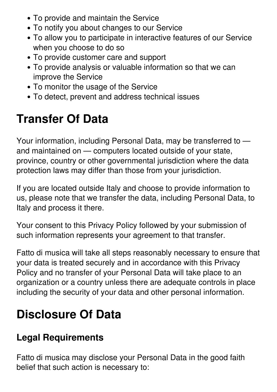- To provide and maintain the Service
- To notify you about changes to our Service
- To allow you to participate in interactive features of our Service when you choose to do so
- To provide customer care and support
- To provide analysis or valuable information so that we can improve the Service
- To monitor the usage of the Service
- To detect, prevent and address technical issues

### **Transfer Of Data**

Your information, including Personal Data, may be transferred to and maintained on — computers located outside of your state, province, country or other governmental jurisdiction where the data protection laws may differ than those from your jurisdiction.

If you are located outside Italy and choose to provide information to us, please note that we transfer the data, including Personal Data, to Italy and process it there.

Your consent to this Privacy Policy followed by your submission of such information represents your agreement to that transfer.

Fatto di musica will take all steps reasonably necessary to ensure that your data is treated securely and in accordance with this Privacy Policy and no transfer of your Personal Data will take place to an organization or a country unless there are adequate controls in place including the security of your data and other personal information.

#### **Disclosure Of Data**

#### **Legal Requirements**

Fatto di musica may disclose your Personal Data in the good faith belief that such action is necessary to: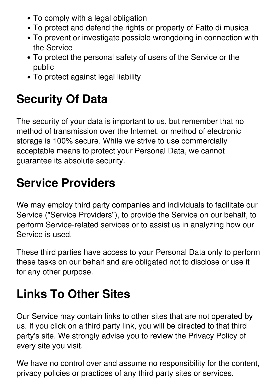- To comply with a legal obligation
- To protect and defend the rights or property of Fatto di musica
- To prevent or investigate possible wrongdoing in connection with the Service
- To protect the personal safety of users of the Service or the public
- To protect against legal liability

## **Security Of Data**

The security of your data is important to us, but remember that no method of transmission over the Internet, or method of electronic storage is 100% secure. While we strive to use commercially acceptable means to protect your Personal Data, we cannot guarantee its absolute security.

### **Service Providers**

We may employ third party companies and individuals to facilitate our Service ("Service Providers"), to provide the Service on our behalf, to perform Service-related services or to assist us in analyzing how our Service is used.

These third parties have access to your Personal Data only to perform these tasks on our behalf and are obligated not to disclose or use it for any other purpose.

# **Links To Other Sites**

Our Service may contain links to other sites that are not operated by us. If you click on a third party link, you will be directed to that third party's site. We strongly advise you to review the Privacy Policy of every site you visit.

We have no control over and assume no responsibility for the content, privacy policies or practices of any third party sites or services.